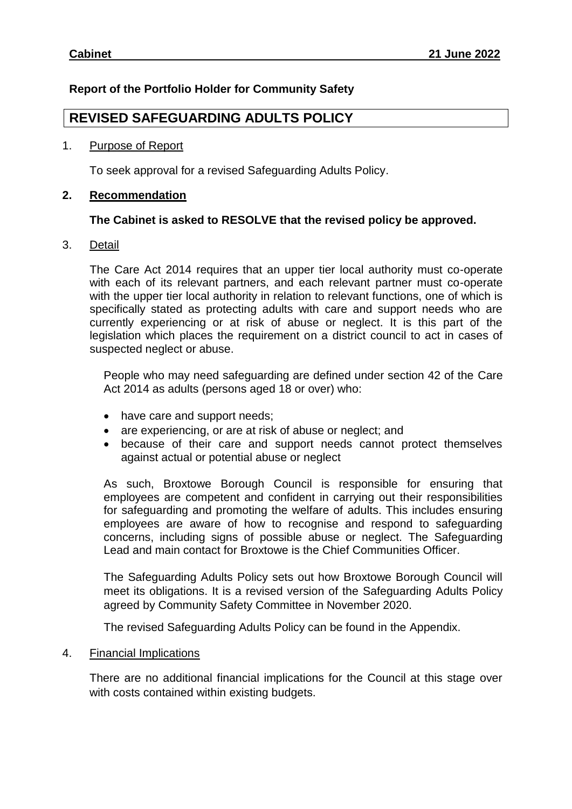# **Report of the Portfolio Holder for Community Safety**

# **REVISED SAFEGUARDING ADULTS POLICY**

# 1. Purpose of Report

To seek approval for a revised Safeguarding Adults Policy.

# **2. Recommendation**

# **The Cabinet is asked to RESOLVE that the revised policy be approved.**

### 3. Detail

The Care Act 2014 requires that an upper tier local authority must co-operate with each of its relevant partners, and each relevant partner must co-operate with the upper tier local authority in relation to relevant functions, one of which is specifically stated as protecting adults with care and support needs who are currently experiencing or at risk of abuse or neglect. It is this part of the legislation which places the requirement on a district council to act in cases of suspected neglect or abuse.

People who may need safeguarding are defined under section 42 of the Care Act 2014 as adults (persons aged 18 or over) who:

- have care and support needs;
- are experiencing, or are at risk of abuse or neglect; and
- because of their care and support needs cannot protect themselves against actual or potential abuse or neglect

As such, Broxtowe Borough Council is responsible for ensuring that employees are competent and confident in carrying out their responsibilities for safeguarding and promoting the welfare of adults. This includes ensuring employees are aware of how to recognise and respond to safeguarding concerns, including signs of possible abuse or neglect. The Safeguarding Lead and main contact for Broxtowe is the Chief Communities Officer.

The Safeguarding Adults Policy sets out how Broxtowe Borough Council will meet its obligations. It is a revised version of the Safeguarding Adults Policy agreed by Community Safety Committee in November 2020.

The revised Safeguarding Adults Policy can be found in the Appendix.

### 4. Financial Implications

There are no additional financial implications for the Council at this stage over with costs contained within existing budgets.